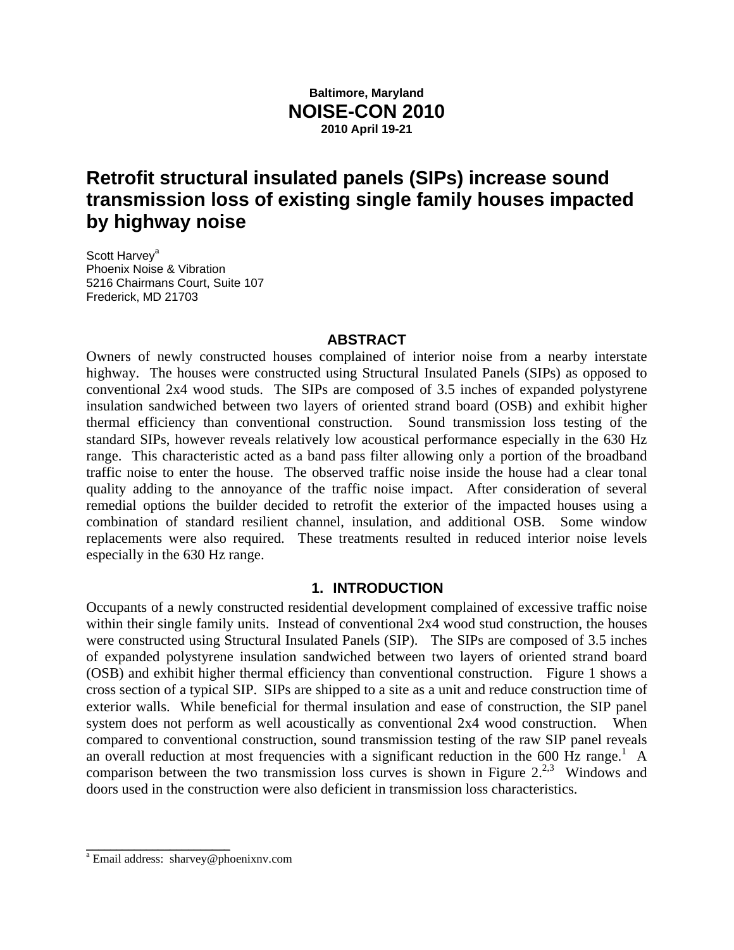## **Baltimore, Maryland NOISE-CON 2010 2010 April 19-21**

# **Retrofit structural insulated panels (SIPs) increase sound transmission loss of existing single family houses impacted by highway noise**

Scott Harvey<sup>a</sup> Phoenix Noise & Vibration 5216 Chairmans Court, Suite 107 Frederick, MD 21703

## **ABSTRACT**

Owners of newly constructed houses complained of interior noise from a nearby interstate highway. The houses were constructed using Structural Insulated Panels (SIPs) as opposed to conventional 2x4 wood studs. The SIPs are composed of 3.5 inches of expanded polystyrene insulation sandwiched between two layers of oriented strand board (OSB) and exhibit higher thermal efficiency than conventional construction. Sound transmission loss testing of the standard SIPs, however reveals relatively low acoustical performance especially in the 630 Hz range. This characteristic acted as a band pass filter allowing only a portion of the broadband traffic noise to enter the house. The observed traffic noise inside the house had a clear tonal quality adding to the annoyance of the traffic noise impact. After consideration of several remedial options the builder decided to retrofit the exterior of the impacted houses using a combination of standard resilient channel, insulation, and additional OSB. Some window replacements were also required. These treatments resulted in reduced interior noise levels especially in the 630 Hz range.

## **1. INTRODUCTION**

Occupants of a newly constructed residential development complained of excessive traffic noise within their single family units. Instead of conventional 2x4 wood stud construction, the houses were constructed using Structural Insulated Panels (SIP). The SIPs are composed of 3.5 inches of expanded polystyrene insulation sandwiched between two layers of oriented strand board (OSB) and exhibit higher thermal efficiency than conventional construction. Figure 1 shows a cross section of a typical SIP. SIPs are shipped to a site as a unit and reduce construction time of exterior walls. While beneficial for thermal insulation and ease of construction, the SIP panel system does not perform as well acoustically as conventional 2x4 wood construction. When compared to conventional construction, sound transmission testing of the raw SIP panel reveals an overall reduction at most frequencies with a significant reduction in the 600 Hz range.<sup>1</sup> A comparison between the two transmission loss curves is shown in Figure  $2^{2,3}$  Windows and doors used in the construction were also deficient in transmission loss characteristics.

\_\_\_\_\_\_\_\_\_\_\_\_\_\_\_\_\_\_\_\_\_\_\_\_

<sup>&</sup>lt;sup>a</sup> Email address: sharvey@phoenixnv.com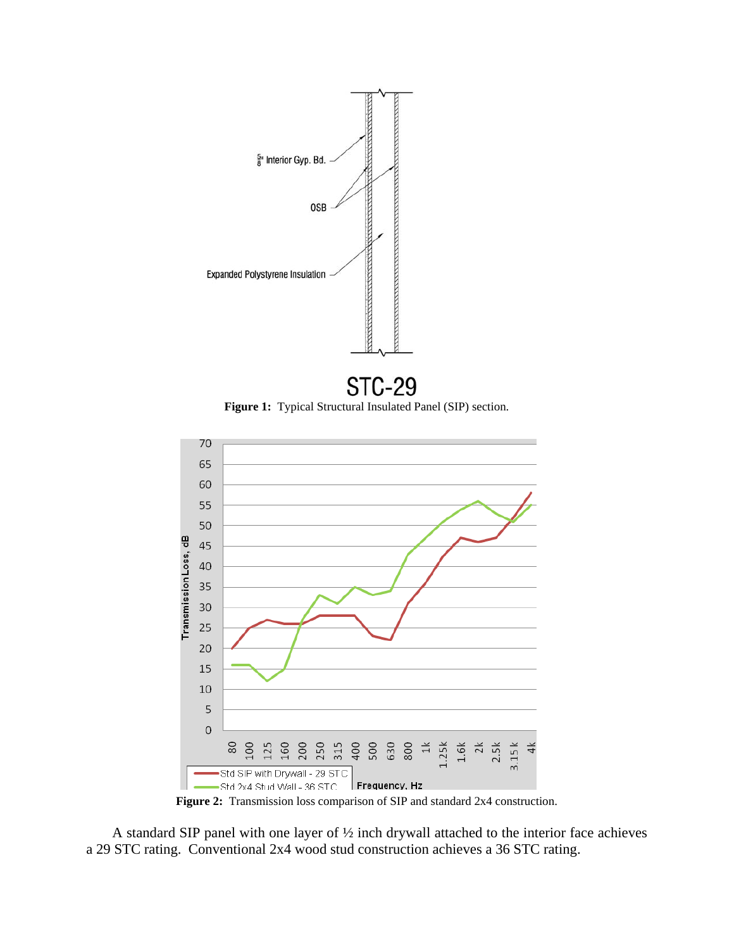

**Figure 1:** Typical Structural Insulated Panel (SIP) section.





A standard SIP panel with one layer of ½ inch drywall attached to the interior face achieves a 29 STC rating. Conventional 2x4 wood stud construction achieves a 36 STC rating.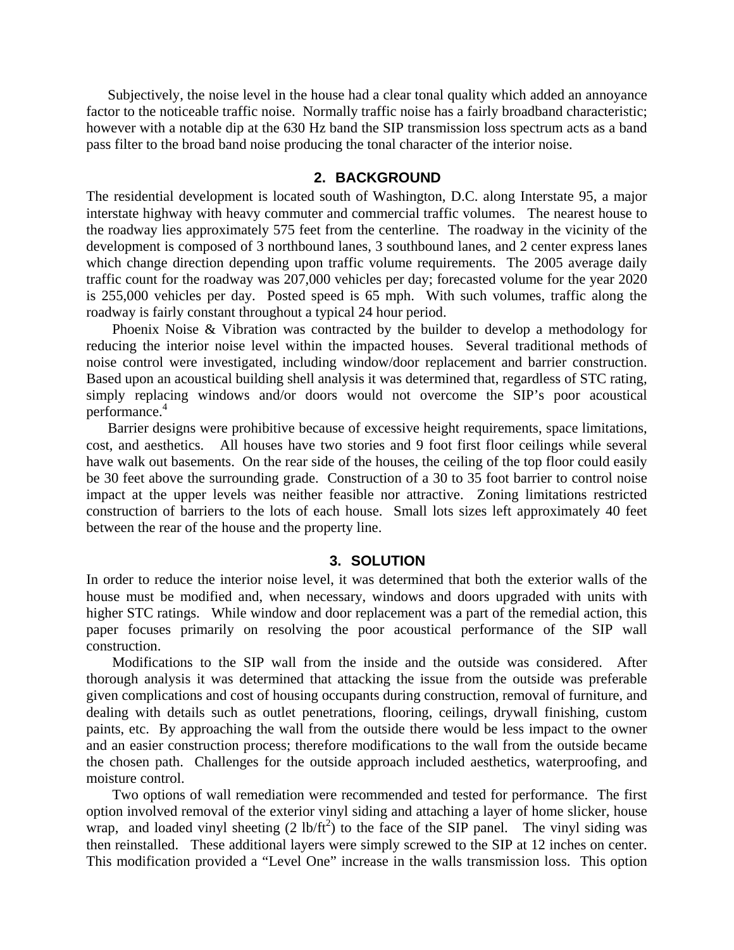Subjectively, the noise level in the house had a clear tonal quality which added an annoyance factor to the noticeable traffic noise. Normally traffic noise has a fairly broadband characteristic; however with a notable dip at the 630 Hz band the SIP transmission loss spectrum acts as a band pass filter to the broad band noise producing the tonal character of the interior noise.

## **2. BACKGROUND**

The residential development is located south of Washington, D.C. along Interstate 95, a major interstate highway with heavy commuter and commercial traffic volumes. The nearest house to the roadway lies approximately 575 feet from the centerline. The roadway in the vicinity of the development is composed of 3 northbound lanes, 3 southbound lanes, and 2 center express lanes which change direction depending upon traffic volume requirements. The 2005 average daily traffic count for the roadway was 207,000 vehicles per day; forecasted volume for the year 2020 is 255,000 vehicles per day. Posted speed is 65 mph. With such volumes, traffic along the roadway is fairly constant throughout a typical 24 hour period.

Phoenix Noise & Vibration was contracted by the builder to develop a methodology for reducing the interior noise level within the impacted houses. Several traditional methods of noise control were investigated, including window/door replacement and barrier construction. Based upon an acoustical building shell analysis it was determined that, regardless of STC rating, simply replacing windows and/or doors would not overcome the SIP's poor acoustical performance.4

Barrier designs were prohibitive because of excessive height requirements, space limitations, cost, and aesthetics. All houses have two stories and 9 foot first floor ceilings while several have walk out basements. On the rear side of the houses, the ceiling of the top floor could easily be 30 feet above the surrounding grade. Construction of a 30 to 35 foot barrier to control noise impact at the upper levels was neither feasible nor attractive. Zoning limitations restricted construction of barriers to the lots of each house. Small lots sizes left approximately 40 feet between the rear of the house and the property line.

#### **3. SOLUTION**

In order to reduce the interior noise level, it was determined that both the exterior walls of the house must be modified and, when necessary, windows and doors upgraded with units with higher STC ratings. While window and door replacement was a part of the remedial action, this paper focuses primarily on resolving the poor acoustical performance of the SIP wall construction.

Modifications to the SIP wall from the inside and the outside was considered. After thorough analysis it was determined that attacking the issue from the outside was preferable given complications and cost of housing occupants during construction, removal of furniture, and dealing with details such as outlet penetrations, flooring, ceilings, drywall finishing, custom paints, etc. By approaching the wall from the outside there would be less impact to the owner and an easier construction process; therefore modifications to the wall from the outside became the chosen path. Challenges for the outside approach included aesthetics, waterproofing, and moisture control.

Two options of wall remediation were recommended and tested for performance. The first option involved removal of the exterior vinyl siding and attaching a layer of home slicker, house wrap, and loaded vinyl sheeting  $(2 \text{ lb/ft}^2)$  to the face of the SIP panel. The vinyl siding was then reinstalled. These additional layers were simply screwed to the SIP at 12 inches on center. This modification provided a "Level One" increase in the walls transmission loss. This option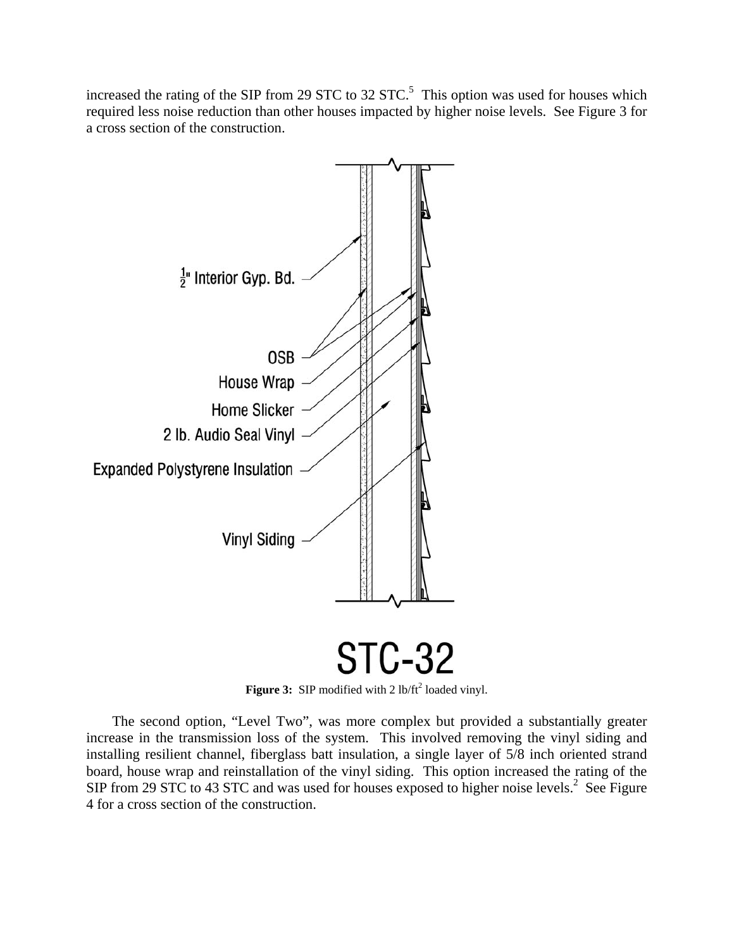increased the rating of the SIP from 29 STC to 32  $STC$ .<sup>5</sup> This option was used for houses which required less noise reduction than other houses impacted by higher noise levels. See Figure 3 for a cross section of the construction.



Figure 3: SIP modified with 2 lb/ft<sup>2</sup> loaded vinyl.

The second option, "Level Two", was more complex but provided a substantially greater increase in the transmission loss of the system. This involved removing the vinyl siding and installing resilient channel, fiberglass batt insulation, a single layer of 5/8 inch oriented strand board, house wrap and reinstallation of the vinyl siding. This option increased the rating of the SIP from 29 STC to 43 STC and was used for houses exposed to higher noise levels.<sup>2</sup> See Figure 4 for a cross section of the construction.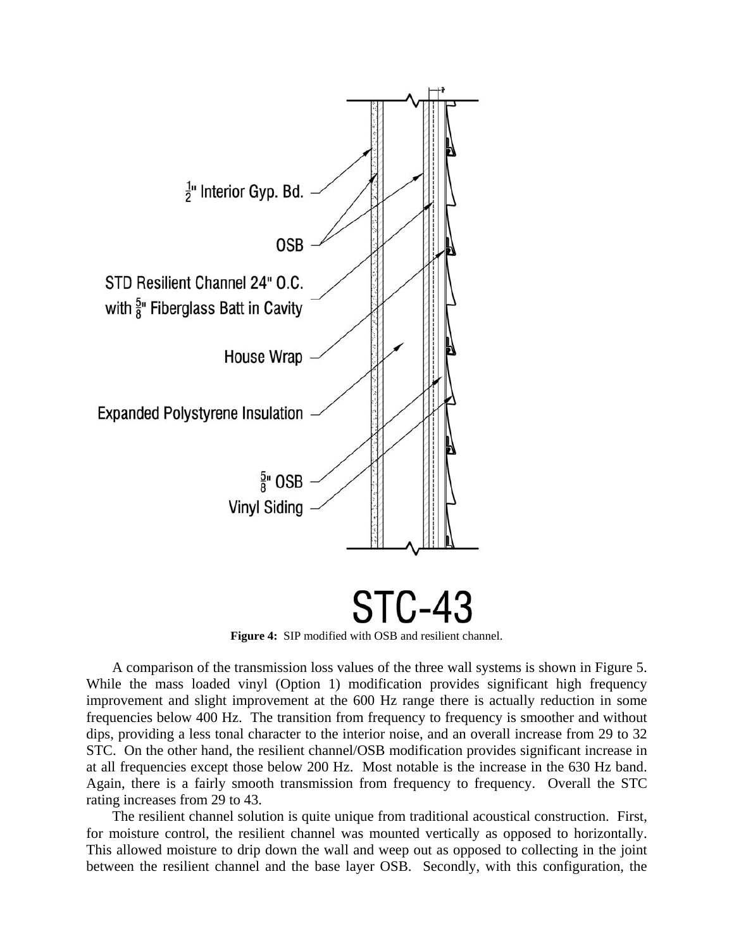

**Figure 4:** SIP modified with OSB and resilient channel.

A comparison of the transmission loss values of the three wall systems is shown in Figure 5. While the mass loaded vinyl (Option 1) modification provides significant high frequency improvement and slight improvement at the 600 Hz range there is actually reduction in some frequencies below 400 Hz. The transition from frequency to frequency is smoother and without dips, providing a less tonal character to the interior noise, and an overall increase from 29 to 32 STC. On the other hand, the resilient channel/OSB modification provides significant increase in at all frequencies except those below 200 Hz. Most notable is the increase in the 630 Hz band. Again, there is a fairly smooth transmission from frequency to frequency. Overall the STC rating increases from 29 to 43.

The resilient channel solution is quite unique from traditional acoustical construction. First, for moisture control, the resilient channel was mounted vertically as opposed to horizontally. This allowed moisture to drip down the wall and weep out as opposed to collecting in the joint between the resilient channel and the base layer OSB. Secondly, with this configuration, the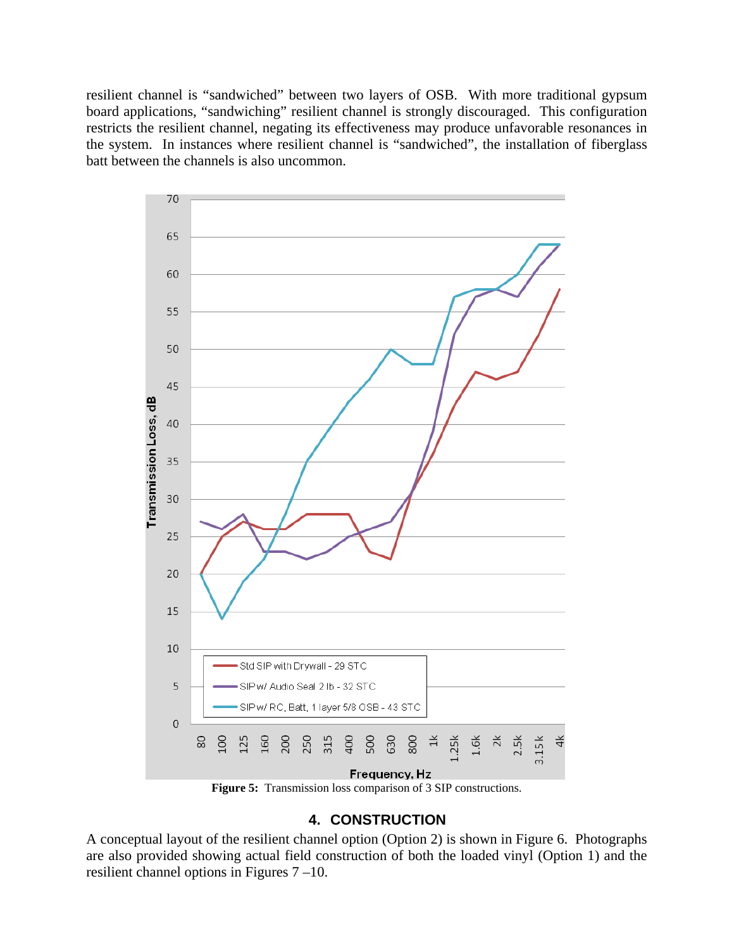resilient channel is "sandwiched" between two layers of OSB. With more traditional gypsum board applications, "sandwiching" resilient channel is strongly discouraged. This configuration restricts the resilient channel, negating its effectiveness may produce unfavorable resonances in the system. In instances where resilient channel is "sandwiched", the installation of fiberglass batt between the channels is also uncommon.



## **4. CONSTRUCTION**

A conceptual layout of the resilient channel option (Option 2) is shown in Figure 6. Photographs are also provided showing actual field construction of both the loaded vinyl (Option 1) and the resilient channel options in Figures 7 –10.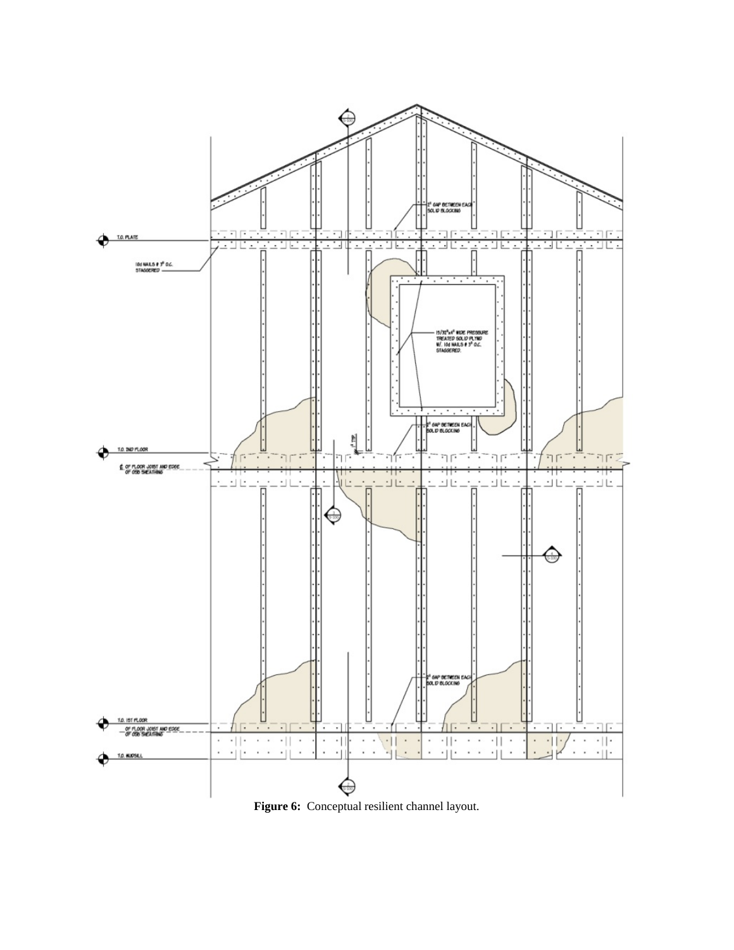

**Figure 6:** Conceptual resilient channel layout.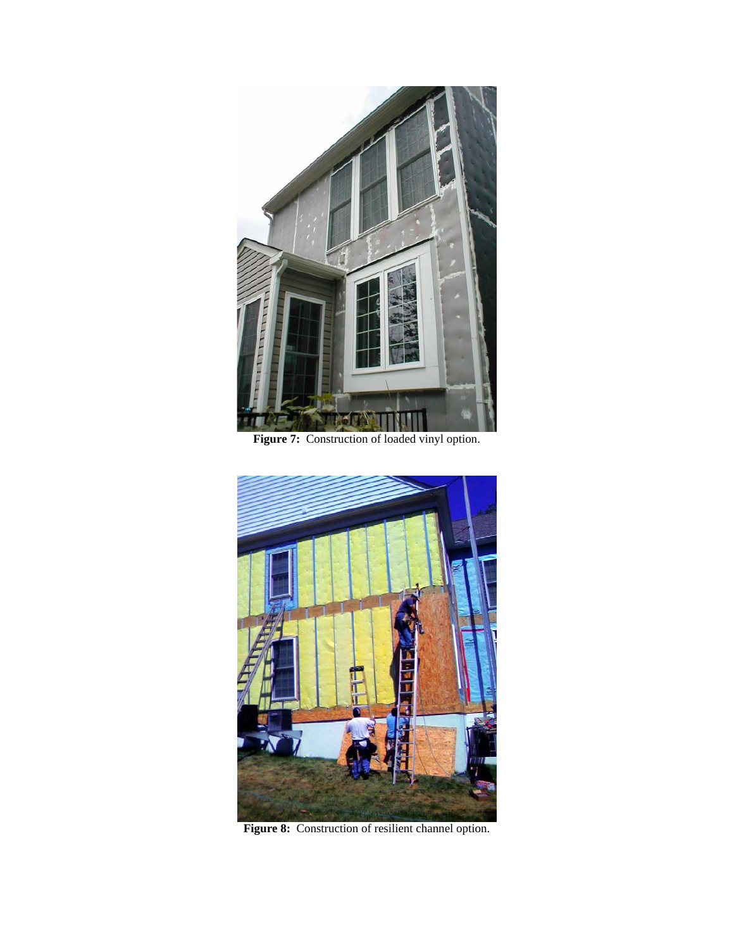

Figure 7: Construction of loaded vinyl option.



Figure 8: Construction of resilient channel option.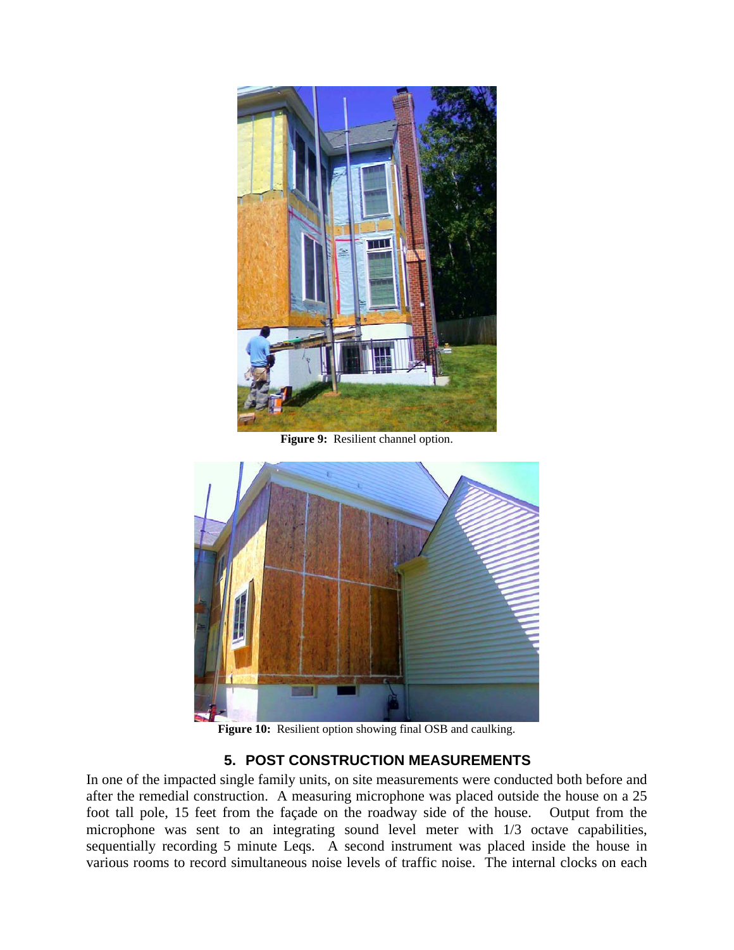

**Figure 9:** Resilient channel option.



**Figure 10:** Resilient option showing final OSB and caulking.

## **5. POST CONSTRUCTION MEASUREMENTS**

In one of the impacted single family units, on site measurements were conducted both before and after the remedial construction. A measuring microphone was placed outside the house on a 25 foot tall pole, 15 feet from the façade on the roadway side of the house. Output from the microphone was sent to an integrating sound level meter with 1/3 octave capabilities, sequentially recording 5 minute Leqs. A second instrument was placed inside the house in various rooms to record simultaneous noise levels of traffic noise. The internal clocks on each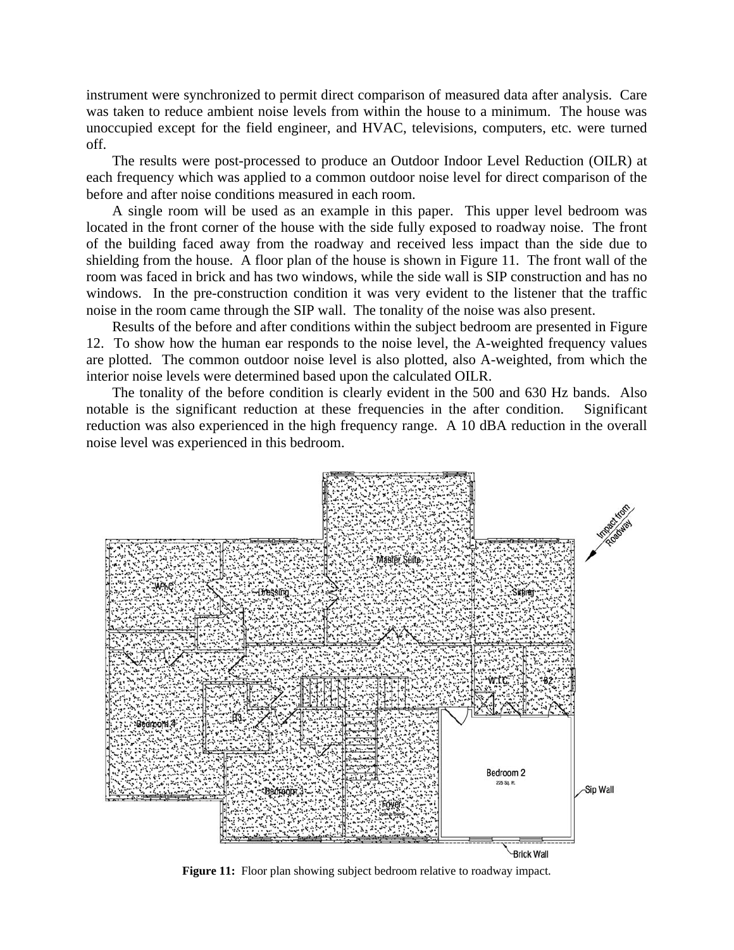instrument were synchronized to permit direct comparison of measured data after analysis. Care was taken to reduce ambient noise levels from within the house to a minimum. The house was unoccupied except for the field engineer, and HVAC, televisions, computers, etc. were turned off.

The results were post-processed to produce an Outdoor Indoor Level Reduction (OILR) at each frequency which was applied to a common outdoor noise level for direct comparison of the before and after noise conditions measured in each room.

A single room will be used as an example in this paper. This upper level bedroom was located in the front corner of the house with the side fully exposed to roadway noise. The front of the building faced away from the roadway and received less impact than the side due to shielding from the house. A floor plan of the house is shown in Figure 11. The front wall of the room was faced in brick and has two windows, while the side wall is SIP construction and has no windows. In the pre-construction condition it was very evident to the listener that the traffic noise in the room came through the SIP wall. The tonality of the noise was also present.

Results of the before and after conditions within the subject bedroom are presented in Figure 12. To show how the human ear responds to the noise level, the A-weighted frequency values are plotted. The common outdoor noise level is also plotted, also A-weighted, from which the interior noise levels were determined based upon the calculated OILR.

The tonality of the before condition is clearly evident in the 500 and 630 Hz bands. Also notable is the significant reduction at these frequencies in the after condition. Significant reduction was also experienced in the high frequency range. A 10 dBA reduction in the overall noise level was experienced in this bedroom.



**Figure 11:** Floor plan showing subject bedroom relative to roadway impact.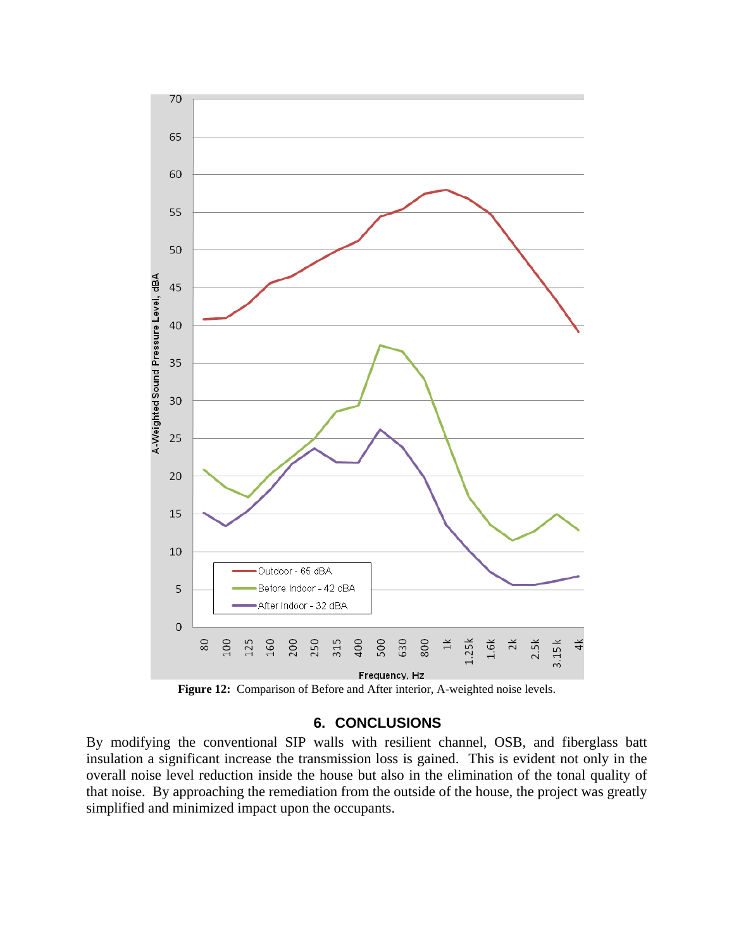

**Figure 12:** Comparison of Before and After interior, A-weighted noise levels.

### **6. CONCLUSIONS**

By modifying the conventional SIP walls with resilient channel, OSB, and fiberglass batt insulation a significant increase the transmission loss is gained. This is evident not only in the overall noise level reduction inside the house but also in the elimination of the tonal quality of that noise. By approaching the remediation from the outside of the house, the project was greatly simplified and minimized impact upon the occupants.